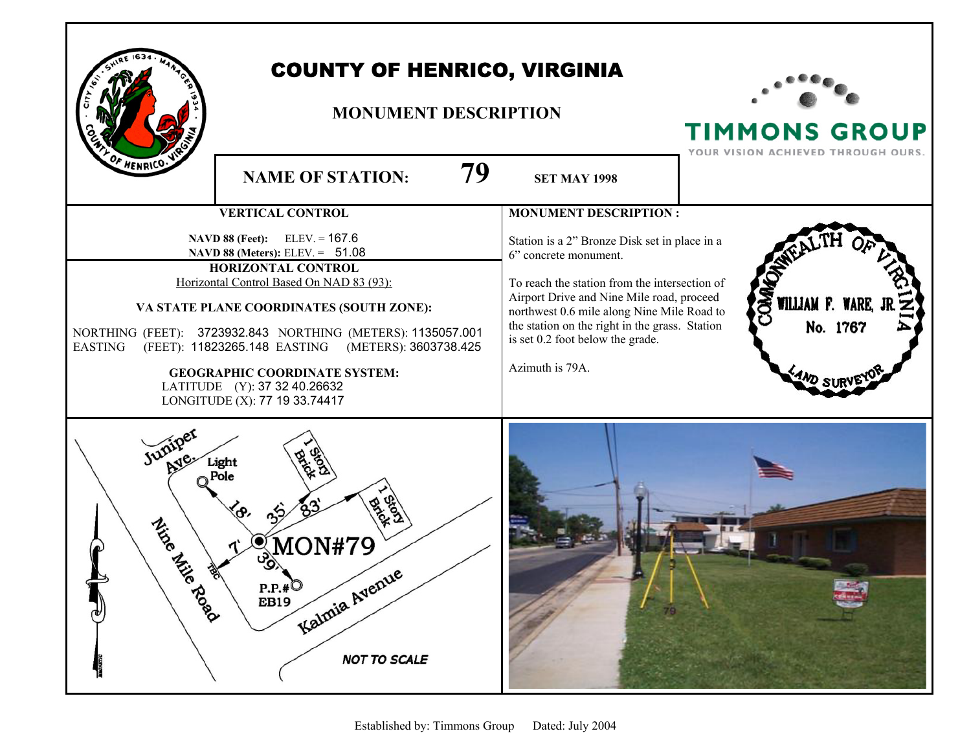